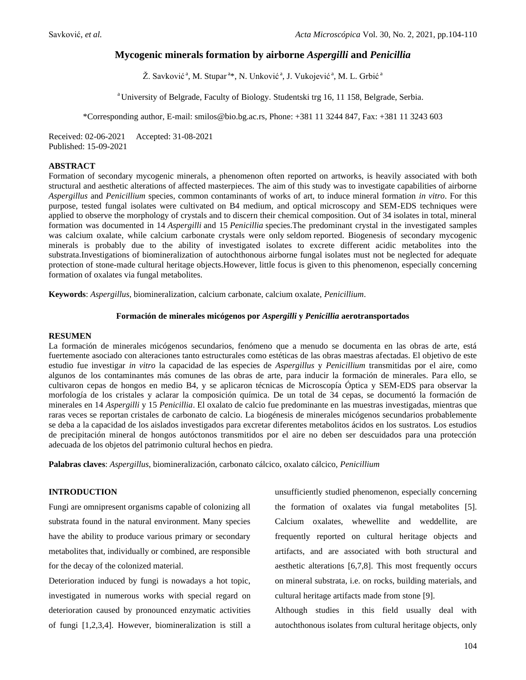# **Mycogenic minerals formation by airborne** *Aspergilli* **and** *Penicillia*

Ž. Savković<sup>a</sup>, M. Stupar<sup>a</sup>\*, N. Unković<sup>a</sup>, J. Vukojević<sup>a</sup>, M. L. Grbić<sup>a</sup>

<sup>a</sup> University of Belgrade, Faculty of Biology. Studentski trg 16, 11 158, Belgrade, Serbia.

\*Corresponding author, E-mail: smilos@bio.bg.ac.rs, Phone: +381 11 3244 847, Fax: +381 11 3243 603

Received: 02-06-2021 Accepted: 31-08-2021 Published: 15-09-2021

## **ABSTRACT**

Formation of secondary mycogenic minerals, a phenomenon often reported on artworks, is heavily associated with both structural and aesthetic alterations of affected masterpieces. The aim of this study was to investigate capabilities of airborne *Aspergillus* and *Penicillium* species, common contaminants of works of art, to induce mineral formation *in vitro*. For this purpose, tested fungal isolates were cultivated on B4 medium, and optical microscopy and SEM-EDS techniques were applied to observe the morphology of crystals and to discern their chemical composition. Out of 34 isolates in total, mineral formation was documented in 14 *Aspergilli* and 15 *Penicillia* species.The predominant crystal in the investigated samples was calcium oxalate, while calcium carbonate crystals were only seldom reported. Biogenesis of secondary mycogenic minerals is probably due to the ability of investigated isolates to excrete different acidic metabolites into the substrata.Investigations of biomineralization of autochthonous airborne fungal isolates must not be neglected for adequate protection of stone-made cultural heritage objects.However, little focus is given to this phenomenon, especially concerning formation of oxalates via fungal metabolites.

**Keywords**: *Aspergillus*, biomineralization, calcium carbonate, calcium oxalate, *Penicillium*.

#### **Formación de minerales micógenos por** *Aspergilli* **y** *Penicillia* **aerotransportados**

#### **RESUMEN**

La formación de minerales micógenos secundarios, fenómeno que a menudo se documenta en las obras de arte, está fuertemente asociado con alteraciones tanto estructurales como estéticas de las obras maestras afectadas. El objetivo de este estudio fue investigar *in vitro* la capacidad de las especies de *Aspergillus* y *Penicillium* transmitidas por el aire, como algunos de los contaminantes más comunes de las obras de arte, para inducir la formación de minerales. Para ello, se cultivaron cepas de hongos en medio B4, y se aplicaron técnicas de Microscopía Óptica y SEM-EDS para observar la morfología de los cristales y aclarar la composición química. De un total de 34 cepas, se documentó la formación de minerales en 14 *Aspergilli* y 15 *Penicillia*. El oxalato de calcio fue predominante en las muestras investigadas, mientras que raras veces se reportan cristales de carbonato de calcio. La biogénesis de minerales micógenos secundarios probablemente se deba a la capacidad de los aislados investigados para excretar diferentes metabolitos ácidos en los sustratos. Los estudios de precipitación mineral de hongos autóctonos transmitidos por el aire no deben ser descuidados para una protección adecuada de los objetos del patrimonio cultural hechos en piedra.

**Palabras claves**: *Aspergillus*, biomineralización, carbonato cálcico, oxalato cálcico, *Penicillium*

#### **INTRODUCTION**

Fungi are omnipresent organisms capable of colonizing all substrata found in the natural environment. Many species have the ability to produce various primary or secondary metabolites that, individually or combined, are responsible for the decay of the colonized material.

Deterioration induced by fungi is nowadays a hot topic, investigated in numerous works with special regard on deterioration caused by pronounced enzymatic activities of fungi [1,2,3,4]. However, biomineralization is still a unsufficiently studied phenomenon, especially concerning the formation of oxalates via fungal metabolites [5]. Calcium oxalates, whewellite and weddellite, are frequently reported on cultural heritage objects and artifacts, and are associated with both structural and aesthetic alterations [6,7,8]. This most frequently occurs on mineral substrata, i.e. on rocks, building materials, and cultural heritage artifacts made from stone [9].

Although studies in this field usually deal with autochthonous isolates from cultural heritage objects, only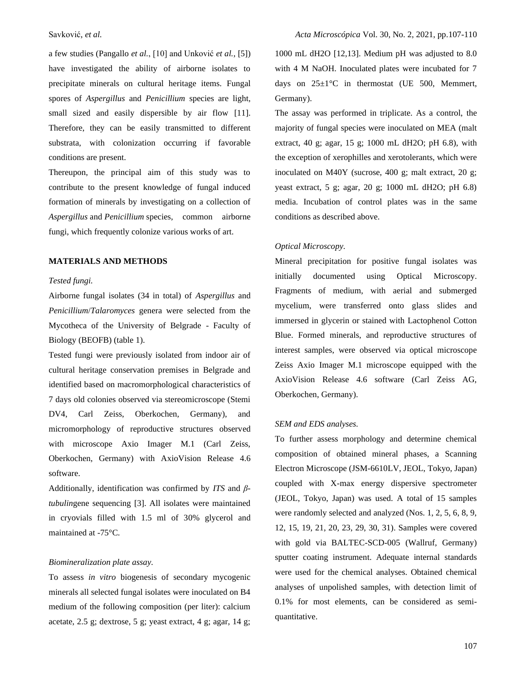a few studies (Pangallo *et al.*, [10] and Unković *et al.*, [5]) have investigated the ability of airborne isolates to precipitate minerals on cultural heritage items. Fungal spores of *Aspergillus* and *Penicillium* species are light, small sized and easily dispersible by air flow [11]. Therefore, they can be easily transmitted to different substrata, with colonization occurring if favorable conditions are present.

Thereupon, the principal aim of this study was to contribute to the present knowledge of fungal induced formation of minerals by investigating on a collection of *Aspergillus* and *Penicillium* species, common airborne fungi, which frequently colonize various works of art.

## **MATERIALS AND METHODS**

## *Tested fungi.*

Airborne fungal isolates (34 in total) of *Aspergillus* and *Penicillium*/*Talaromyces* genera were selected from the Mycotheca of the University of Belgrade - Faculty of Biology (BEOFB) (table 1).

Tested fungi were previously isolated from indoor air of cultural heritage conservation premises in Belgrade and identified based on macromorphological characteristics of 7 days old colonies observed via stereomicroscope (Stemi DV4, Carl Zeiss, Oberkochen, Germany), and micromorphology of reproductive structures observed with microscope Axio Imager M.1 (Carl Zeiss, Oberkochen, Germany) with AxioVision Release 4.6 software.

Additionally, identification was confirmed by *ITS* and *βtubulin*gene sequencing [3]. All isolates were maintained in cryovials filled with 1.5 ml of 30% glycerol and maintained at -75°C.

### *Biomineralization plate assay.*

To assess *in vitro* biogenesis of secondary mycogenic minerals all selected fungal isolates were inoculated on B4 medium of the following composition (per liter): calcium acetate, 2.5 g; dextrose, 5 g; yeast extract, 4 g; agar, 14 g; 1000 mL dH2O [12,13]. Medium pH was adjusted to 8.0 with 4 M NaOH. Inoculated plates were incubated for 7 days on  $25\pm1\degree C$  in thermostat (UE 500, Memmert, Germany).

The assay was performed in triplicate. As a control, the majority of fungal species were inoculated on MEA (malt extract, 40 g; agar, 15 g; 1000 mL dH2O; pH 6.8), with the exception of xerophilles and xerotolerants, which were inoculated on M40Y (sucrose, 400 g; malt extract, 20 g; yeast extract, 5 g; agar, 20 g; 1000 mL dH2O; pH 6.8) media. Incubation of control plates was in the same conditions as described above.

### *Optical Microscopy.*

Mineral precipitation for positive fungal isolates was initially documented using Optical Microscopy. Fragments of medium, with aerial and submerged mycelium, were transferred onto glass slides and immersed in glycerin or stained with Lactophenol Cotton Blue. Formed minerals, and reproductive structures of interest samples, were observed via optical microscope Zeiss Axio Imager M.1 microscope equipped with the AxioVision Release 4.6 software (Carl Zeiss AG, Oberkochen, Germany).

#### *SEM and EDS analyses.*

To further assess morphology and determine chemical composition of obtained mineral phases, a Scanning Electron Microscope (JSM-6610LV, JEOL, Tokyo, Japan) coupled with X-max energy dispersive spectrometer (JEOL, Tokyo, Japan) was used. A total of 15 samples were randomly selected and analyzed (Nos. 1, 2, 5, 6, 8, 9, 12, 15, 19, 21, 20, 23, 29, 30, 31). Samples were covered with gold via BALTEC-SCD-005 (Wallruf, Germany) sputter coating instrument. Adequate internal standards were used for the chemical analyses. Obtained chemical analyses of unpolished samples, with detection limit of 0.1% for most elements, can be considered as semiquantitative.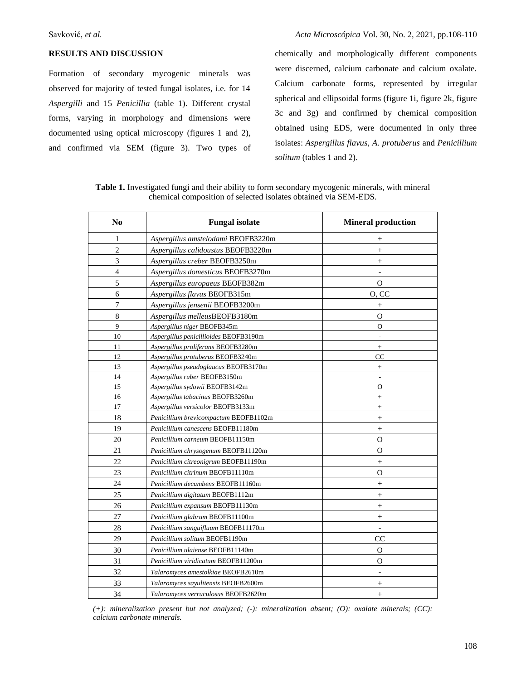### **RESULTS AND DISCUSSION**

Formation of secondary mycogenic minerals was observed for majority of tested fungal isolates, i.e. for 14 *Aspergilli* and 15 *Penicillia* (table 1). Different crystal forms, varying in morphology and dimensions were documented using optical microscopy (figures 1 and 2), and confirmed via SEM (figure 3). Two types of chemically and morphologically different components were discerned, calcium carbonate and calcium oxalate. Calcium carbonate forms, represented by irregular spherical and ellipsoidal forms (figure 1i, figure 2k, figure 3c and 3g) and confirmed by chemical composition obtained using EDS, were documented in only three isolates: *Aspergillus flavus*, *A. protuberus* and *Penicillium solitum* (tables 1 and 2).

**Table 1.** Investigated fungi and their ability to form secondary mycogenic minerals, with mineral chemical composition of selected isolates obtained via SEM-EDS.

| N <sub>0</sub>   | <b>Fungal isolate</b>                 | <b>Mineral production</b>    |  |  |
|------------------|---------------------------------------|------------------------------|--|--|
| 1                | Aspergillus amstelodami BEOFB3220m    | $^{+}$                       |  |  |
| $\overline{2}$   | Aspergillus calidoustus BEOFB3220m    | $^{+}$                       |  |  |
| 3                | Aspergillus creber BEOFB3250m         | $^{+}$                       |  |  |
| $\overline{4}$   | Aspergillus domesticus BEOFB3270m     |                              |  |  |
| 5                | Aspergillus europaeus BEOFB382m       | $\Omega$                     |  |  |
| 6                | Aspergillus flavus BEOFB315m          | O, CC                        |  |  |
| $\boldsymbol{7}$ | Aspergillus jensenii BEOFB3200m       | $^{+}$                       |  |  |
| $\,$ 8 $\,$      | Aspergillus melleusBEOFB3180m         | $\mathbf{O}$                 |  |  |
| 9                | Aspergillus niger BEOFB345m           | $\Omega$                     |  |  |
| 10               | Aspergillus penicillioides BEOFB3190m | $\qquad \qquad \blacksquare$ |  |  |
| 11               | Aspergillus proliferans BEOFB3280m    | $+$                          |  |  |
| 12               | Aspergillus protuberus BEOFB3240m     | CC                           |  |  |
| 13               | Aspergillus pseudoglaucus BEOFB3170m  | $^{+}$                       |  |  |
| 14               | Aspergillus ruber BEOFB3150m          | $\overline{a}$               |  |  |
| 15               | Aspergillus sydowii BEOFB3142m        | O                            |  |  |
| 16               | Aspergillus tabacinus BEOFB3260m      | $^{+}$                       |  |  |
| 17               | Aspergillus versicolor BEOFB3133m     | $^{+}$                       |  |  |
| 18               | Penicillium brevicompactum BEOFB1102m | $^{+}$                       |  |  |
| 19               | Penicillium canescens BEOFB11180m     | $^{+}$                       |  |  |
| 20               | Penicillium carneum BEOFB11150m       | $\overline{O}$               |  |  |
| 21               | Penicillium chrysogenum BEOFB11120m   | $\mathbf{O}$                 |  |  |
| 22               | Penicillium citreonigrum BEOFB11190m  | $+$                          |  |  |
| 23               | Penicillium citrinum BEOFB11110m      | $\Omega$                     |  |  |
| 24               | Penicillium decumbens BEOFB11160m     | $^{+}$                       |  |  |
| 25               | Penicillium digitatum BEOFB1112m      | $^{+}$                       |  |  |
| 26               | Penicillium expansum BEOFB11130m      | $+$                          |  |  |
| 27               | Penicillium glabrum BEOFB11100m       | $+$                          |  |  |
| 28               | Penicillium sanguifluum BEOFB11170m   |                              |  |  |
| 29               | Penicillium solitum BEOFB1190m        | CC                           |  |  |
| 30               | Penicillium ulaiense BEOFB11140m      | $\mathcal{O}$                |  |  |
| 31               | Penicillium viridicatum BEOFB11200m   | O                            |  |  |
| 32               | Talaromyces amestolkiae BEOFB2610m    | $\overline{a}$               |  |  |
| 33               | Talaromyces sayulitensis BEOFB2600m   | $+$                          |  |  |
| 34               | Talaromyces verruculosus BEOFB2620m   | $^{+}$                       |  |  |

*(+): mineralization present but not analyzed; (-): mineralization absent; (O): oxalate minerals; (CC): calcium carbonate minerals.*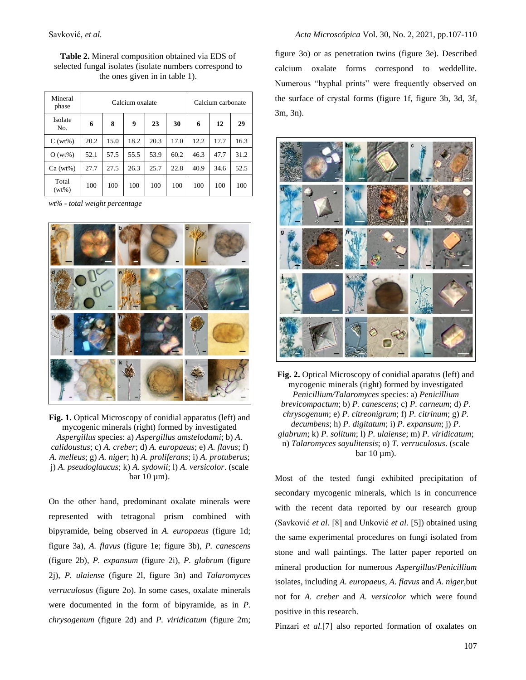**Table 2.** Mineral composition obtained via EDS of selected fungal isolates (isolate numbers correspond to the ones given in in table 1).

| Mineral<br>phase  | Calcium oxalate |      |      |      |      | Calcium carbonate |      |      |
|-------------------|-----------------|------|------|------|------|-------------------|------|------|
| Isolate<br>No.    | 6               | 8    | 9    | 23   | 30   | 6                 | 12   | 29   |
| $C(wt\%)$         | 20.2            | 15.0 | 18.2 | 20.3 | 17.0 | 12.2              | 17.7 | 16.3 |
| $O(wt\%)$         | 52.1            | 57.5 | 55.5 | 53.9 | 60.2 | 46.3              | 47.7 | 31.2 |
| $Ca (wt\%)$       | 27.7            | 27.5 | 26.3 | 25.7 | 22.8 | 40.9              | 34.6 | 52.5 |
| Total<br>$(wt\%)$ | 100             | 100  | 100  | 100  | 100  | 100               | 100  | 100  |

*wt% - total weight percentage* 



**Fig. 1.** Optical Microscopy of conidial apparatus (left) and mycogenic minerals (right) formed by investigated *Aspergillus* species: a) *Aspergillus amstelodami*; b) *A. calidoustus*; c) *A. creber*; d) *A. europaeus*; e) *A. flavus*; f) *A. melleus*; g) *A. niger*; h) *A. proliferans*; i) *A. protuberus*; j) *A. pseudoglaucus*; k) *A. sydowii*; l) *A. versicolor*. (scale  $bar 10 \mu m$ ).

On the other hand, predominant oxalate minerals were represented with tetragonal prism combined with bipyramide, being observed in *A. europaeus* (figure 1d; figure 3a), *A. flavus* (figure 1e; figure 3b), *P. canescens* (figure 2b), *P. expansum* (figure 2i), *P. glabrum* (figure 2j), *P. ulaiense* (figure 2l, figure 3n) and *Talaromyces verruculosus* (figure 2o). In some cases, oxalate minerals were documented in the form of bipyramide, as in *P. chrysogenum* (figure 2d) and *P. viridicatum* (figure 2m;

figure 3o) or as penetration twins (figure 3e). Described calcium oxalate forms correspond to weddellite. Numerous "hyphal prints" were frequently observed on the surface of crystal forms (figure 1f, figure 3b, 3d, 3f, 3m, 3n).



**Fig. 2.** Optical Microscopy of conidial aparatus (left) and mycogenic minerals (right) formed by investigated *Penicillium/Talaromyces* species: a) *Penicillium brevicompactum*; b) *P. canescens*; c) *P. carneum*; d) *P. chrysogenum*; e) *P. citreonigrum*; f) *P. citrinum*; g) *P. decumbens*; h) *P. digitatum*; i) *P. expansum*; j) *P. glabrum*; k) *P. solitum*; l) *P. ulaiense*; m) *P. viridicatum*; n) *Talaromyces sayulitensis*; o) *T. verruculosus*. (scale  $bar 10 \mu m$ ).

Most of the tested fungi exhibited precipitation of secondary mycogenic minerals, which is in concurrence with the recent data reported by our research group (Savković *et al.* [8] and Unković *et al.* [5]) obtained using the same experimental procedures on fungi isolated from stone and wall paintings. The latter paper reported on mineral production for numerous *Aspergillus*/*Penicillium* isolates, including *A. europaeus*, *A. flavus* and *A. niger*,but not for *A. creber* and *A. versicolor* which were found positive in this research.

Pinzari *et al.*[7] also reported formation of oxalates on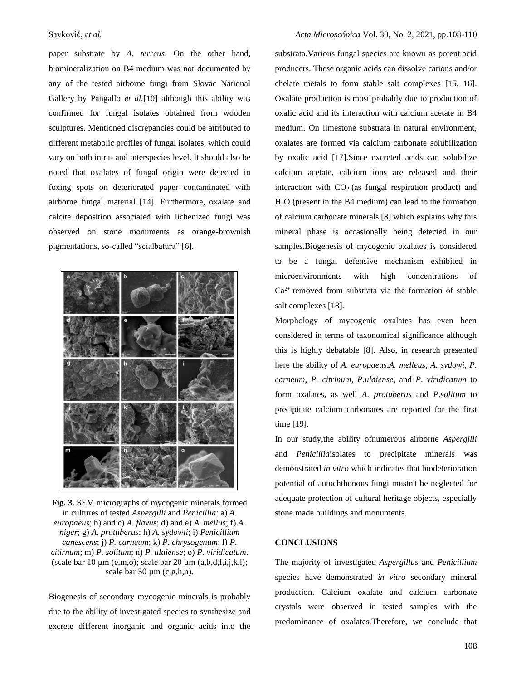paper substrate by *A. terreus*. On the other hand, biomineralization on B4 medium was not documented by any of the tested airborne fungi from Slovac National Gallery by Pangallo *et al.*[10] although this ability was confirmed for fungal isolates obtained from wooden sculptures. Mentioned discrepancies could be attributed to different metabolic profiles of fungal isolates, which could vary on both intra- and interspecies level. It should also be noted that oxalates of fungal origin were detected in foxing spots on deteriorated paper contaminated with airborne fungal material [14]. Furthermore, oxalate and calcite deposition associated with lichenized fungi was observed on stone monuments as orange-brownish pigmentations, so-called "scialbatura" [6].



**Fig. 3.** SEM micrographs of mycogenic minerals formed in cultures of tested *Aspergilli* and *Penicillia*: a) *A. europaeus*; b) and c) *A. flavus*; d) and e) *A. mellus*; f) *A. niger*; g) *A. protuberus*; h) *A. sydowii*; i) *Penicillium canescens*; j) *P. carneum*; k) *P. chrysogenum*; l) *P. citirnum*; m) *P. solitum*; n) *P. ulaiense*; o) *P. viridicatum*. (scale bar 10  $\mu$ m (e,m,o); scale bar 20  $\mu$ m (a,b,d,f,i,j,k,l); scale bar 50  $\mu$ m (c,g,h,n).

Biogenesis of secondary mycogenic minerals is probably due to the ability of investigated species to synthesize and excrete different inorganic and organic acids into the

substrata.Various fungal species are known as potent acid producers. These organic acids can dissolve cations and/or chelate metals to form stable salt complexes [15, 16]. Oxalate production is most probably due to production of oxalic acid and its interaction with calcium acetate in B4 medium. On limestone substrata in natural environment, oxalates are formed via calcium carbonate solubilization by oxalic acid [17].Since excreted acids can solubilize calcium acetate, calcium ions are released and their interaction with  $CO<sub>2</sub>$  (as fungal respiration product) and H2O (present in the B4 medium) can lead to the formation of calcium carbonate minerals [8] which explains why this mineral phase is occasionally being detected in our samples.Biogenesis of mycogenic oxalates is considered to be a fungal defensive mechanism exhibited in microenvironments with high concentrations of  $Ca<sup>2+</sup>$  removed from substrata via the formation of stable salt complexes [18].

Morphology of mycogenic oxalates has even been considered in terms of taxonomical significance although this is highly debatable [8]. Also, in research presented here the ability of *A*. *europaeus*,*A. melleus, A. sydowi, P. carneum, P. citrinum*, *P*.*ulaiense*, and *P*. *viridicatum* to form oxalates, as well *A. protuberus* and *P*.*solitum* to precipitate calcium carbonates are reported for the first time [19].

In our study,the ability ofnumerous airborne *Aspergilli* and *Penicillia*isolates to precipitate minerals was demonstrated *in vitro* which indicates that biodeterioration potential of autochthonous fungi mustn't be neglected for adequate protection of cultural heritage objects, especially stone made buildings and monuments.

## **CONCLUSIONS**

The majority of investigated *Aspergillus* and *Penicillium* species have demonstrated *in vitro* secondary mineral production. Calcium oxalate and calcium carbonate crystals were observed in tested samples with the predominance of oxalates.Therefore, we conclude that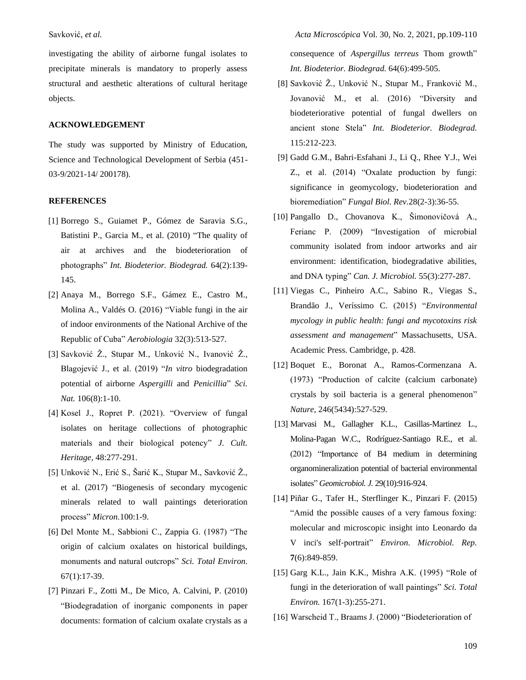investigating the ability of airborne fungal isolates to precipitate minerals is mandatory to properly assess structural and aesthetic alterations of cultural heritage objects.

# **ACKNOWLEDGEMENT**

The study was supported by Ministry of Education, Science and Technological Development of Serbia (451- 03-9/2021-14/ 200178).

### **REFERENCES**

- [1] Borrego S., Guiamet P., Gómez de Saravia S.G., Batistini P., Garcia M., et al. (2010) "The quality of air at archives and the biodeterioration of photographs" *Int. Biodeterior. Biodegrad.* 64(2):139- 145.
- [2] Anaya M., Borrego S.F., Gámez E., Castro M., Molina A., Valdés O. (2016) "Viable fungi in the air of indoor environments of the National Archive of the Republic of Cuba" *Aerobiologia* 32(3):513-527.
- [3] Savković Ž., Stupar M., Unković N., Ivanović Ž., Blagojević J., et al. (2019) "*In vitro* biodegradation potential of airborne *Aspergilli* and *Penicillia*" *Sci. Nat.* 106(8):1-10.
- [4] Kosel J., Ropret P. (2021). "Overview of fungal isolates on heritage collections of photographic materials and their biological potency" *J. Cult. Heritage,* 48:277-291.
- [5] Unković N., Erić S., Šarić K., Stupar M., Savković Ž., et al. (2017) "Biogenesis of secondary mycogenic minerals related to wall paintings deterioration process" *Micron.*100:1-9.
- [6] Del Monte M., Sabbioni C., Zappia G. (1987) "The origin of calcium oxalates on historical buildings, monuments and natural outcrops" *Sci. Total Environ.* 67(1):17-39.
- [7] Pinzari F., Zotti M., De Mico, A. Calvini, P. (2010) "Biodegradation of inorganic components in paper documents: formation of calcium oxalate crystals as a

Savković, *et al. Acta Microscópica* Vol. 30, No. 2, 2021, pp.109-110 consequence of *Aspergillus terreus* Thom growth" *Int. Biodeterior. Biodegrad.* 64(6):499-505.

- [8] Savković Ž., Unković N., Stupar M., Franković M., Jovanović M., et al. (2016) "Diversity and biodeteriorative potential of fungal dwellers on ancient stone Stela" *Int. Biodeterior. Biodegrad.* 115:212-223.
- [9] Gadd G.M., Bahri-Esfahani J., Li Q., Rhee Y.J., Wei Z., et al. (2014) "Oxalate production by fungi: significance in geomycology, biodeterioration and bioremediation" *Fungal Biol. Rev.*28(2-3):36-55.
- [10] Pangallo D., Chovanova K., Šimonovičová A., Ferianc P. (2009) "Investigation of microbial community isolated from indoor artworks and air environment: identification, biodegradative abilities, and DNA typing" *Can. J. Microbiol.* 55(3):277-287.
- [11] Viegas C., Pinheiro A.C., Sabino R., Viegas S., Brandão J., Veríssimo C. (2015) "*Environmental mycology in public health: fungi and mycotoxins risk assessment and management*" Massachusetts, USA. Academic Press. Cambridge, p. 428.
- [12] Boquet E., Boronat A., Ramos-Cormenzana A. (1973) "Production of calcite (calcium carbonate) crystals by soil bacteria is a general phenomenon" *Nature,* 246(5434):527-529.
- [13] Marvasi M., Gallagher K.L., Casillas-Martinez L., Molina-Pagan W.C., Rodríguez-Santiago R.E., et al. (2012) "Importance of B4 medium in determining organomineralization potential of bacterial environmental isolates" *Geomicrobiol. J.* 29(10):916-924.
- [14] Piñar G., Tafer H., Sterflinger K., Pinzari F. (2015) "Amid the possible causes of a very famous foxing: molecular and microscopic insight into Leonardo da V inci's self‐portrait" *Environ. Microbiol. Rep.* **7**(6):849-859.
- [15] Garg K.L., Jain K.K., Mishra A.K. (1995) "Role of fungi in the deterioration of wall paintings" *Sci. Total Environ.* 167(1-3):255-271.
- [16] Warscheid T., Braams J. (2000) "Biodeterioration of